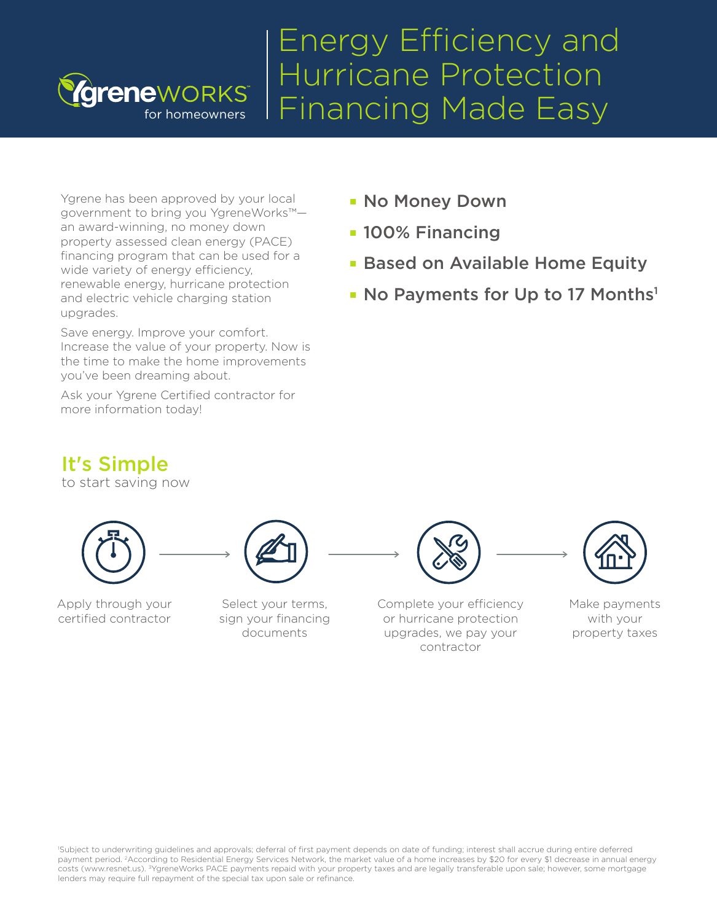# Energy Efficiency and Hurricane Protection Financing Made Easy

Ygrene has been approved by your local government to bring you YgreneWorks™ an award-winning, no money down property assessed clean energy (PACE) financing program that can be used for a wide variety of energy efficiency, renewable energy, hurricane protection and electric vehicle charging station upgrades.

for homeowners

reneworks<sup>®</sup>

Save energy. Improve your comfort. Increase the value of your property. Now is the time to make the home improvements you've been dreaming about.

Ask your Ygrene Certified contractor for more information today!

- No Money Down
- **100% Financing**
- **Based on Available Home Equity**
- No Payments for Up to 17 Months<sup>1</sup>

## It's Simple

to start saving now



Apply through your certified contractor

Select your terms, sign your financing documents

Complete your efficiency or hurricane protection upgrades, we pay your contractor

Make payments with your property taxes